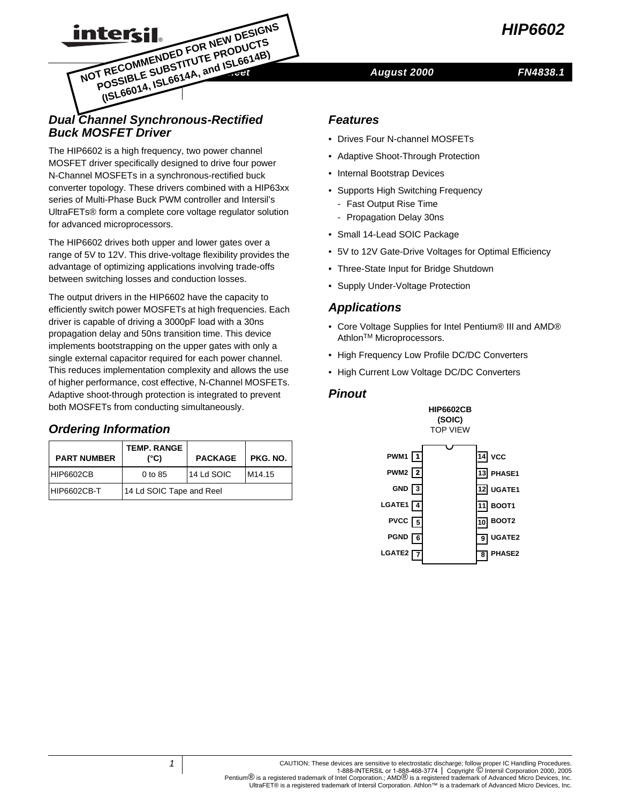

# **DECOMMENDED** FOR NEW DESIGNS<br>
NOT RECOMMENDED FOR NEW DESIGNS<br>
NOT RECOMMENDED TITUTE PRODUCTS<br>
NOT REGIBLE SOL6614A, and ISL6614B)<br>
August 2000

#### *FN4838.1*

# *Dual Channel Synchronous-Rectified Buck MOSFET Driver*

®

**Intersil POSSIBLE SUBSTITUTE PRODUCTS (ISL66014, ISL6614A, and ISL6614B)** 

The HIP6602 is a high frequency, two power channel MOSFET driver specifically designed to drive four power N-Channel MOSFETs in a synchronous-rectified buck converter topology. These drivers combined with a HIP63xx series of Multi-Phase Buck PWM controller and Intersil's UltraFETs® form a complete core voltage regulator solution for advanced microprocessors.

The HIP6602 drives both upper and lower gates over a range of 5V to 12V. This drive-voltage flexibility provides the advantage of optimizing applications involving trade-offs between switching losses and conduction losses.

The output drivers in the HIP6602 have the capacity to efficiently switch power MOSFETs at high frequencies. Each driver is capable of driving a 3000pF load with a 30ns propagation delay and 50ns transition time. This device implements bootstrapping on the upper gates with only a single external capacitor required for each power channel. This reduces implementation complexity and allows the use of higher performance, cost effective, N-Channel MOSFETs. Adaptive shoot-through protection is integrated to prevent both MOSFETs from conducting simultaneously.

# **Ordering Information**

| <b>PART NUMBER</b> | <b>TEMP. RANGE</b><br>(°C) | <b>PACKAGE</b> | PKG. NO.           |  |
|--------------------|----------------------------|----------------|--------------------|--|
| HIP6602CB          | $0$ to $85$                | 14 Ld SOIC     | M <sub>14.15</sub> |  |
| HIP6602CB-T        | 14 Ld SOIC Tape and Reel   |                |                    |  |

#### *Features*

- Drives Four N-channel MOSFETs
- Adaptive Shoot-Through Protection
- Internal Bootstrap Devices
- Supports High Switching Frequency
	- Fast Output Rise Time
	- Propagation Delay 30ns
- Small 14-Lead SOIC Package
- 5V to 12V Gate-Drive Voltages for Optimal Efficiency
- Three-State Input for Bridge Shutdown
- Supply Under-Voltage Protection

# *Applications*

- Core Voltage Supplies for Intel Pentium® III and AMD® Athlon<sup>™</sup> Microprocessors.
- High Frequency Low Profile DC/DC Converters
- High Current Low Voltage DC/DC Converters

#### *Pinout*



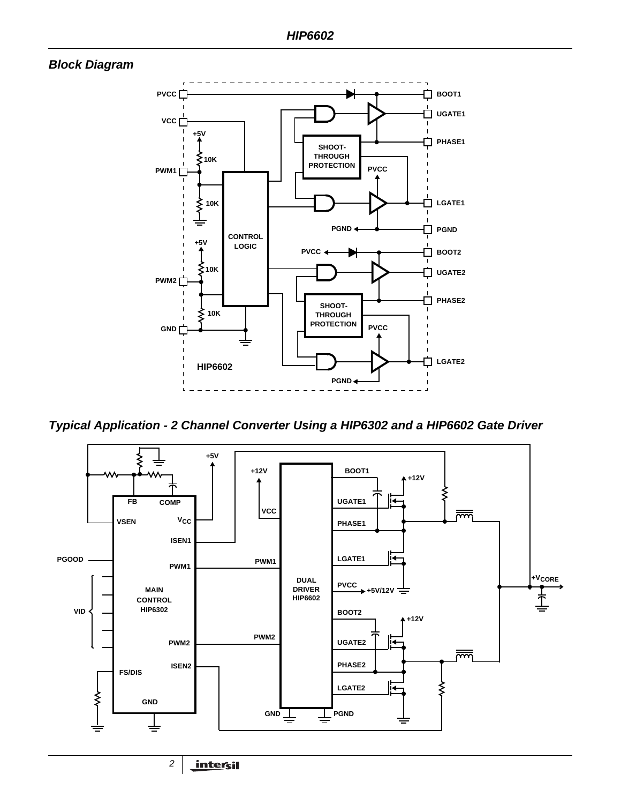# *Block Diagram*



*Typical Application - 2 Channel Converter Using a HIP6302 and a HIP6602 Gate Driver*

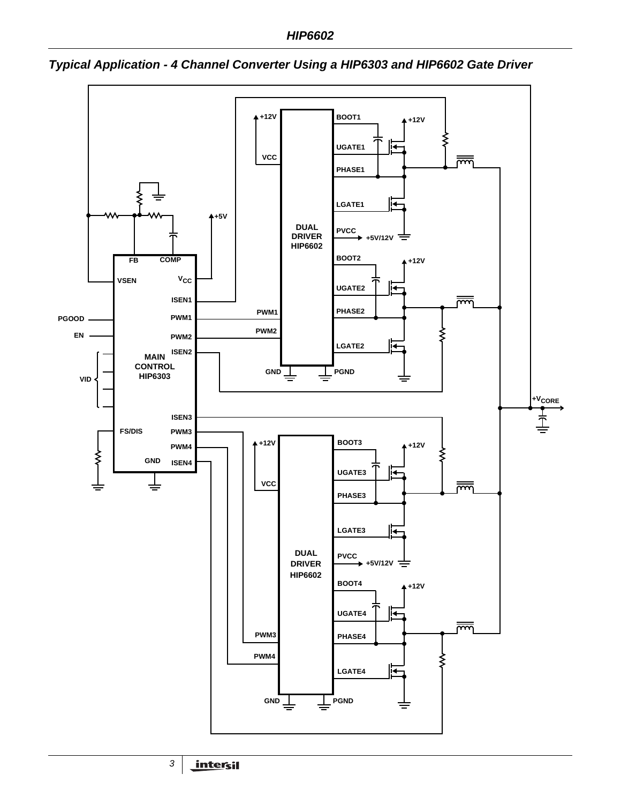

*Typical Application - 4 Channel Converter Using a HIP6303 and HIP6602 Gate Driver*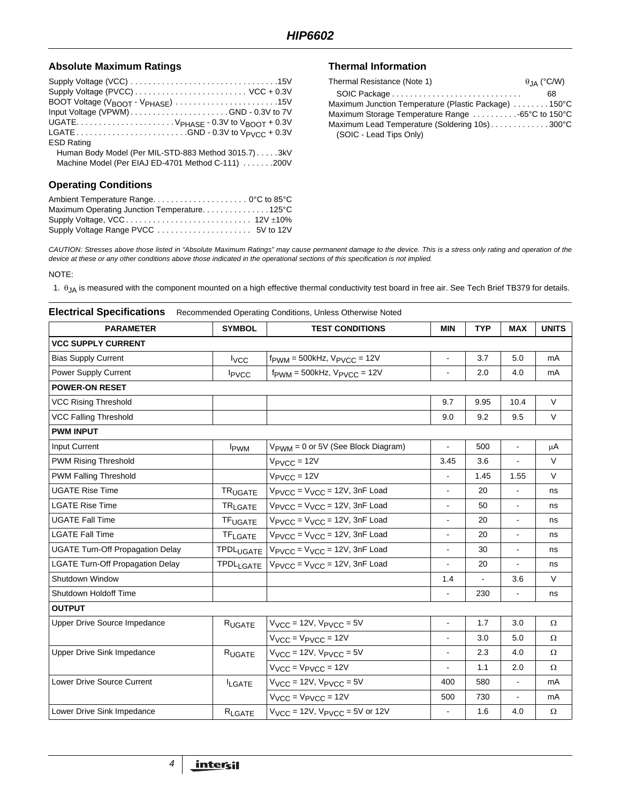#### Absolute Maximum Ratings **Thermal Information**

| BOOT Voltage (V <sub>BOOT</sub> - V <sub>PHASE</sub> ) 15V |
|------------------------------------------------------------|
|                                                            |
|                                                            |
|                                                            |
| <b>ESD Rating</b>                                          |
| Human Body Model (Per MIL-STD-883 Method 3015.7)3kV        |
| Machine Model (Per EIAJ ED-4701 Method C-111) 200V         |
|                                                            |
| <b>Operating Conditions</b>                                |

| Maximum Operating Junction Temperature125°C |  |
|---------------------------------------------|--|
|                                             |  |
|                                             |  |

| Thermal Resistance (Note 1)                          | $\theta_{\rm IA}$ (°C/W) |
|------------------------------------------------------|--------------------------|
|                                                      | 68                       |
| Maximum Junction Temperature (Plastic Package) 150°C |                          |
| Maximum Storage Temperature Range -65°C to 150°C     |                          |
| Maximum Lead Temperature (Soldering 10s)300°C        |                          |
| (SOIC - Lead Tips Only)                              |                          |

*CAUTION: Stresses above those listed in "Absolute Maximum Ratings" may cause permanent damage to the device. This is a stress only rating and operation of the device at these or any other conditions above those indicated in the operational sections of this specification is not implied.*

NOTE:

1.  $\theta$ <sub>JA</sub> is measured with the component mounted on a high effective thermal conductivity test board in free air. See Tech Brief TB379 for details.

| <b>Electrical Specifications</b><br>Recommended Operating Conditions, Unless Otherwise Noted |                             |                                                     |                |            |                |              |
|----------------------------------------------------------------------------------------------|-----------------------------|-----------------------------------------------------|----------------|------------|----------------|--------------|
| <b>PARAMETER</b>                                                                             | <b>SYMBOL</b>               | <b>TEST CONDITIONS</b>                              | <b>MIN</b>     | <b>TYP</b> | <b>MAX</b>     | <b>UNITS</b> |
| <b>VCC SUPPLY CURRENT</b>                                                                    |                             |                                                     |                |            |                |              |
| <b>Bias Supply Current</b>                                                                   | $I_{VCC}$                   | $f_{\text{PWM}} = 500$ kHz, $V_{\text{PVCC}} = 12V$ | $\blacksquare$ | 3.7        | 5.0            | mA           |
| Power Supply Current                                                                         | <b>I</b> <sub>PVCC</sub>    | $f_{\text{PWM}} = 500$ kHz, $V_{\text{PVCC}} = 12V$ | $\blacksquare$ | 2.0        | 4.0            | mA           |
| <b>POWER-ON RESET</b>                                                                        |                             |                                                     |                |            |                |              |
| <b>VCC Rising Threshold</b>                                                                  |                             |                                                     | 9.7            | 9.95       | 10.4           | V            |
| <b>VCC Falling Threshold</b>                                                                 |                             |                                                     | 9.0            | 9.2        | 9.5            | V            |
| <b>PWM INPUT</b>                                                                             |                             |                                                     |                |            |                |              |
| Input Current                                                                                | <b>I</b> <sub>PWM</sub>     | V <sub>PWM</sub> = 0 or 5V (See Block Diagram)      | $\blacksquare$ | 500        | $\blacksquare$ | μA           |
| <b>PWM Rising Threshold</b>                                                                  |                             | $V_{\text{PVCC}} = 12V$                             | 3.45           | 3.6        | $\blacksquare$ | $\vee$       |
| <b>PWM Falling Threshold</b>                                                                 |                             | $V_{\text{PVCC}} = 12V$                             |                | 1.45       | 1.55           | V            |
| <b>UGATE Rise Time</b>                                                                       | <b>TRUGATE</b>              | $V_{\text{PVCC}} = V_{\text{VCC}} = 12V$ , 3nF Load | $\blacksquare$ | 20         | ÷,             | ns           |
| <b>LGATE Rise Time</b>                                                                       | <b>TRLGATE</b>              | $V_{\text{PVCC}} = V_{\text{VCC}} = 12V$ , 3nF Load | ÷,             | 50         | $\blacksquare$ | ns           |
| <b>UGATE Fall Time</b>                                                                       | <b>TF<sub>UGATE</sub></b>   | $V_{\text{PVCC}} = V_{\text{VCC}} = 12V$ , 3nF Load | ä,             | 20         | $\blacksquare$ | ns           |
| <b>LGATE Fall Time</b>                                                                       | <b>TF<sub>LGATE</sub></b>   | $V_{\text{PVCC}} = V_{\text{VCC}} = 12V$ , 3nF Load | $\blacksquare$ | 20         | $\blacksquare$ | ns           |
| <b>UGATE Turn-Off Propagation Delay</b>                                                      | <b>TPDL<sub>UGATE</sub></b> | $V_{\text{PVCC}} = V_{\text{VCC}} = 12V$ , 3nF Load | Ξ.             | 30         | $\blacksquare$ | ns           |
| <b>LGATE Turn-Off Propagation Delay</b>                                                      | <b>TPDL<sub>LGATE</sub></b> | $V_{\text{PVCC}} = V_{\text{VCC}} = 12V$ , 3nF Load | L.             | 20         |                | ns           |
| Shutdown Window                                                                              |                             |                                                     | 1.4            |            | 3.6            | V            |
| Shutdown Holdoff Time                                                                        |                             |                                                     | $\blacksquare$ | 230        | $\blacksquare$ | ns           |
| <b>OUTPUT</b>                                                                                |                             |                                                     |                |            |                |              |
| Upper Drive Source Impedance                                                                 | R <sub>UGATE</sub>          | $V_{VCC}$ = 12V, $V_{PVCC}$ = 5V                    | $\blacksquare$ | 1.7        | 3.0            | Ω            |
|                                                                                              |                             | $VVCC = VPVCC = 12V$                                | $\blacksquare$ | 3.0        | 5.0            | Ω            |
| <b>Upper Drive Sink Impedance</b>                                                            | RUGATE                      | $V_{VCC}$ = 12V, $V_{PVCC}$ = 5V                    | $\blacksquare$ | 2.3        | 4.0            | Ω            |
|                                                                                              |                             | $V_{VCC}$ = $V_{PVCC}$ = 12V                        | $\blacksquare$ | 1.1        | 2.0            | Ω            |
| Lower Drive Source Current                                                                   | <b>ILGATE</b>               | $V_{VCC}$ = 12V, $V_{PVCC}$ = 5V                    | 400            | 580        | $\blacksquare$ | mA           |
|                                                                                              |                             | $V_{VCC}$ = $V_{PVCC}$ = 12V                        | 500            | 730        |                | mA           |
| Lower Drive Sink Impedance                                                                   | $R_{\text{LGATE}}$          | $V_{VCC}$ = 12V, $V_{PVCC}$ = 5V or 12V             | $\blacksquare$ | 1.6        | 4.0            | Ω            |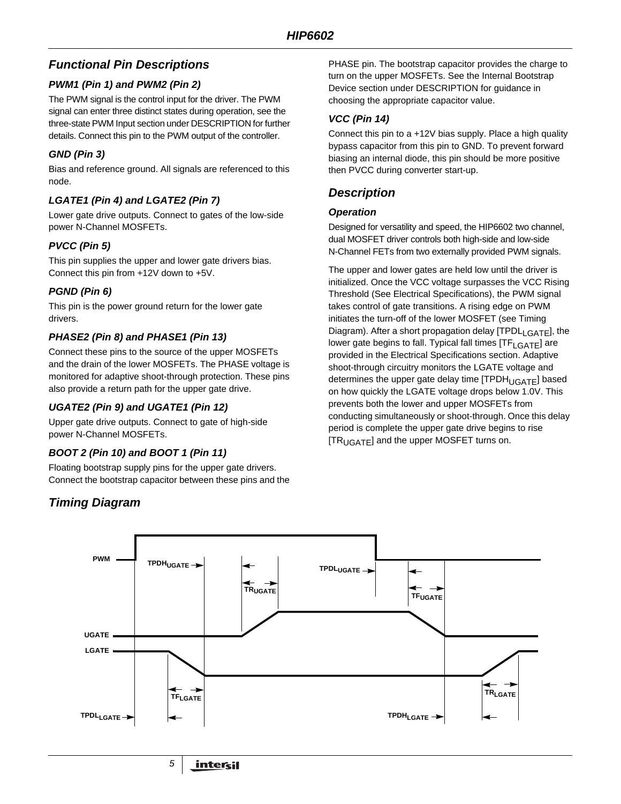# *Functional Pin Descriptions*

# *PWM1 (Pin 1) and PWM2 (Pin 2)*

The PWM signal is the control input for the driver. The PWM signal can enter three distinct states during operation, see the three-state PWM Input section under DESCRIPTION for further details. Connect this pin to the PWM output of the controller.

# *GND (Pin 3)*

Bias and reference ground. All signals are referenced to this node.

# *LGATE1 (Pin 4) and LGATE2 (Pin 7)*

Lower gate drive outputs. Connect to gates of the low-side power N-Channel MOSFETs.

# *PVCC (Pin 5)*

This pin supplies the upper and lower gate drivers bias. Connect this pin from +12V down to +5V.

#### *PGND (Pin 6)*

This pin is the power ground return for the lower gate drivers.

# *PHASE2 (Pin 8) and PHASE1 (Pin 13)*

Connect these pins to the source of the upper MOSFETs and the drain of the lower MOSFETs. The PHASE voltage is monitored for adaptive shoot-through protection. These pins also provide a return path for the upper gate drive.

#### *UGATE2 (Pin 9) and UGATE1 (Pin 12)*

Upper gate drive outputs. Connect to gate of high-side power N-Channel MOSFETs.

# *BOOT 2 (Pin 10) and BOOT 1 (Pin 11)*

Floating bootstrap supply pins for the upper gate drivers. Connect the bootstrap capacitor between these pins and the

*Timing Diagram*

PHASE pin. The bootstrap capacitor provides the charge to turn on the upper MOSFETs. See the Internal Bootstrap Device section under DESCRIPTION for guidance in choosing the appropriate capacitor value.

#### *VCC (Pin 14)*

Connect this pin to a +12V bias supply. Place a high quality bypass capacitor from this pin to GND. To prevent forward biasing an internal diode, this pin should be more positive then PVCC during converter start-up.

# *Description*

#### *Operation*

Designed for versatility and speed, the HIP6602 two channel, dual MOSFET driver controls both high-side and low-side N-Channel FETs from two externally provided PWM signals.

The upper and lower gates are held low until the driver is initialized. Once the VCC voltage surpasses the VCC Rising Threshold (See Electrical Specifications), the PWM signal takes control of gate transitions. A rising edge on PWM initiates the turn-off of the lower MOSFET (see Timing Diagram). After a short propagation delay  $[TPDL<sub>LGATE</sub>]$ , the lower gate begins to fall. Typical fall times [TF<sub>LGATE</sub>] are provided in the Electrical Specifications section. Adaptive shoot-through circuitry monitors the LGATE voltage and determines the upper gate delay time  $[TPDH_{UGATE}]$  based on how quickly the LGATE voltage drops below 1.0V. This prevents both the lower and upper MOSFETs from conducting simultaneously or shoot-through. Once this delay period is complete the upper gate drive begins to rise [TR<sub>UGATE</sub>] and the upper MOSFET turns on.

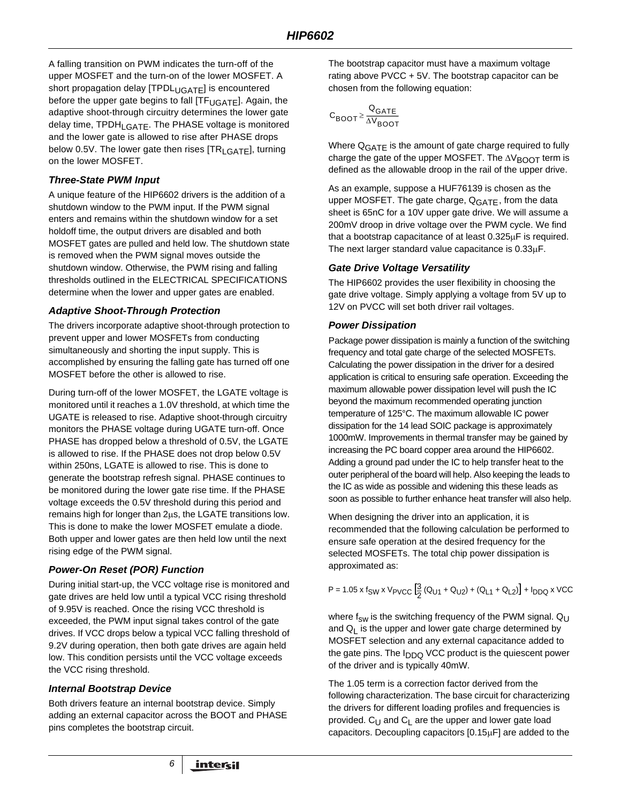A falling transition on PWM indicates the turn-off of the upper MOSFET and the turn-on of the lower MOSFET. A short propagation delay [TPDL<sub>UGATE</sub>] is encountered before the upper gate begins to fall [TF<sub>UGATE</sub>]. Again, the adaptive shoot-through circuitry determines the lower gate delay time,  $TPDH<sub>LGATF</sub>$ . The PHASE voltage is monitored and the lower gate is allowed to rise after PHASE drops below 0.5V. The lower gate then rises [TR<sub>LGATE</sub>], turning on the lower MOSFET.

#### *Three-State PWM Input*

A unique feature of the HIP6602 drivers is the addition of a shutdown window to the PWM input. If the PWM signal enters and remains within the shutdown window for a set holdoff time, the output drivers are disabled and both MOSFET gates are pulled and held low. The shutdown state is removed when the PWM signal moves outside the shutdown window. Otherwise, the PWM rising and falling thresholds outlined in the ELECTRICAL SPECIFICATIONS determine when the lower and upper gates are enabled.

#### *Adaptive Shoot-Through Protection*

The drivers incorporate adaptive shoot-through protection to prevent upper and lower MOSFETs from conducting simultaneously and shorting the input supply. This is accomplished by ensuring the falling gate has turned off one MOSFET before the other is allowed to rise.

During turn-off of the lower MOSFET, the LGATE voltage is monitored until it reaches a 1.0V threshold, at which time the UGATE is released to rise. Adaptive shoot-through circuitry monitors the PHASE voltage during UGATE turn-off. Once PHASE has dropped below a threshold of 0.5V, the LGATE is allowed to rise. If the PHASE does not drop below 0.5V within 250ns, LGATE is allowed to rise. This is done to generate the bootstrap refresh signal. PHASE continues to be monitored during the lower gate rise time. If the PHASE voltage exceeds the 0.5V threshold during this period and remains high for longer than 2µs, the LGATE transitions low. This is done to make the lower MOSFET emulate a diode. Both upper and lower gates are then held low until the next rising edge of the PWM signal.

#### *Power-On Reset (POR) Function*

During initial start-up, the VCC voltage rise is monitored and gate drives are held low until a typical VCC rising threshold of 9.95V is reached. Once the rising VCC threshold is exceeded, the PWM input signal takes control of the gate drives. If VCC drops below a typical VCC falling threshold of 9.2V during operation, then both gate drives are again held low. This condition persists until the VCC voltage exceeds the VCC rising threshold.

#### *Internal Bootstrap Device*

Both drivers feature an internal bootstrap device. Simply adding an external capacitor across the BOOT and PHASE pins completes the bootstrap circuit.

*6*

The bootstrap capacitor must have a maximum voltage rating above PVCC + 5V. The bootstrap capacitor can be chosen from the following equation:

$$
C_{\text{BOOT}} \geq \frac{Q_{\text{GATE}}}{\Delta V_{\text{BOOT}}}
$$

Where Q<sub>GATE</sub> is the amount of gate charge required to fully charge the gate of the upper MOSFET. The  $\Delta V_{\rm BODT}$  term is defined as the allowable droop in the rail of the upper drive.

As an example, suppose a HUF76139 is chosen as the upper MOSFET. The gate charge,  $Q<sub>GATE</sub>$ , from the data sheet is 65nC for a 10V upper gate drive. We will assume a 200mV droop in drive voltage over the PWM cycle. We find that a bootstrap capacitance of at least 0.325µF is required. The next larger standard value capacitance is 0.33µF.

#### *Gate Drive Voltage Versatility*

The HIP6602 provides the user flexibility in choosing the gate drive voltage. Simply applying a voltage from 5V up to 12V on PVCC will set both driver rail voltages.

#### *Power Dissipation*

Package power dissipation is mainly a function of the switching frequency and total gate charge of the selected MOSFETs. Calculating the power dissipation in the driver for a desired application is critical to ensuring safe operation. Exceeding the maximum allowable power dissipation level will push the IC beyond the maximum recommended operating junction temperature of 125°C. The maximum allowable IC power dissipation for the 14 lead SOIC package is approximately 1000mW. Improvements in thermal transfer may be gained by increasing the PC board copper area around the HIP6602. Adding a ground pad under the IC to help transfer heat to the outer peripheral of the board will help. Also keeping the leads to the IC as wide as possible and widening this these leads as soon as possible to further enhance heat transfer will also help.

When designing the driver into an application, it is recommended that the following calculation be performed to ensure safe operation at the desired frequency for the selected MOSFETs. The total chip power dissipation is approximated as:

$$
P = 1.05 \times f_{SW} \times V_{PVCC} \left[ \frac{3}{2} (Q_{U1} + Q_{U2}) + (Q_{L1} + Q_{L2}) \right] + I_{DDQ} \times VCC
$$

where  $f_{sw}$  is the switching frequency of the PWM signal. Q<sub>U</sub> and  $Q_1$  is the upper and lower gate charge determined by MOSFET selection and any external capacitance added to the gate pins. The I<sub>DDQ</sub> VCC product is the quiescent power of the driver and is typically 40mW.

The 1.05 term is a correction factor derived from the following characterization. The base circuit for characterizing the drivers for different loading profiles and frequencies is provided.  $C_{U}$  and  $C_{V}$  are the upper and lower gate load capacitors. Decoupling capacitors [0.15µF] are added to the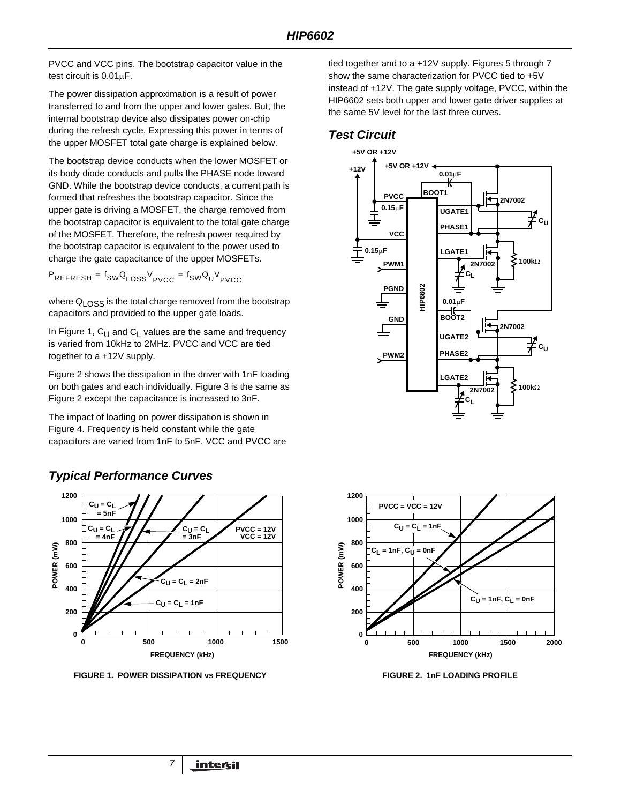PVCC and VCC pins. The bootstrap capacitor value in the test circuit is 0.01µF.

The power dissipation approximation is a result of power transferred to and from the upper and lower gates. But, the internal bootstrap device also dissipates power on-chip during the refresh cycle. Expressing this power in terms of the upper MOSFET total gate charge is explained below.

The bootstrap device conducts when the lower MOSFET or its body diode conducts and pulls the PHASE node toward GND. While the bootstrap device conducts, a current path is formed that refreshes the bootstrap capacitor. Since the upper gate is driving a MOSFET, the charge removed from the bootstrap capacitor is equivalent to the total gate charge of the MOSFET. Therefore, the refresh power required by the bootstrap capacitor is equivalent to the power used to charge the gate capacitance of the upper MOSFETs.

P<sub>REFRESH</sub> = f<sub>SW</sub>Q<sub>LOSS</sub>V<sub>PVCC</sub> = f<sub>SW</sub>Q<sub>U</sub>V<sub>PVCC</sub>

where Q<sub>LOSS</sub> is the total charge removed from the bootstrap capacitors and provided to the upper gate loads.

In Figure 1,  $C_{U}$  and  $C_{V}$  values are the same and frequency is varied from 10kHz to 2MHz. PVCC and VCC are tied together to a +12V supply.

Figure 2 shows the dissipation in the driver with 1nF loading on both gates and each individually. Figure 3 is the same as Figure 2 except the capacitance is increased to 3nF.

The impact of loading on power dissipation is shown in Figure 4. Frequency is held constant while the gate capacitors are varied from 1nF to 5nF. VCC and PVCC are



# *Typical Performance Curves*

**FIGURE 1. POWER DISSIPATION VS FREQUENCY FIGURE 2. 1nF LOADING PROFILE** 

tied together and to a +12V supply. Figures 5 through 7 show the same characterization for PVCC tied to +5V instead of +12V. The gate supply voltage, PVCC, within the HIP6602 sets both upper and lower gate driver supplies at the same 5V level for the last three curves.

# *Test Circuit*



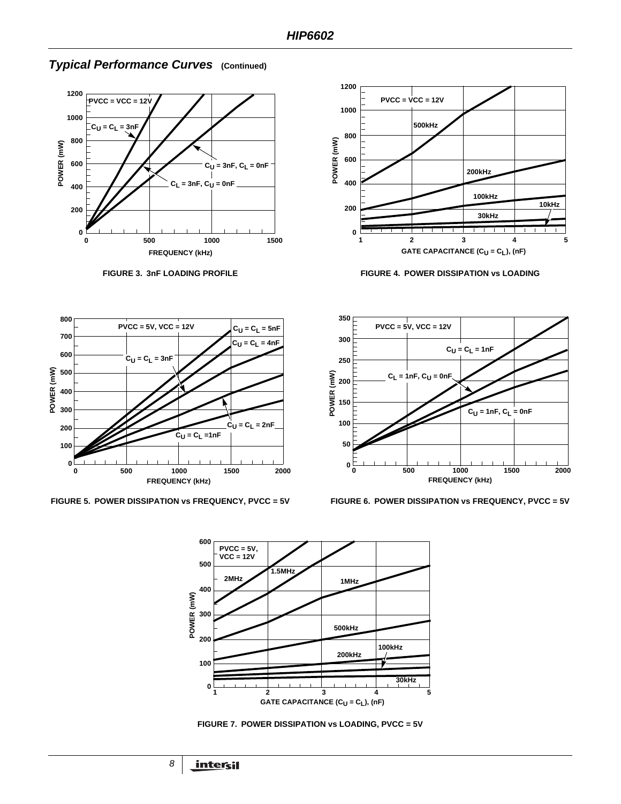

#### *Typical Performance Curves* **(Continued)**









**FIGURE 5. POWER DISSIPATION vs FREQUENCY, PVCC = 5V FIGURE 6. POWER DISSIPATION vs FREQUENCY, PVCC = 5V**





**FIGURE 7. POWER DISSIPATION vs LOADING, PVCC = 5V**